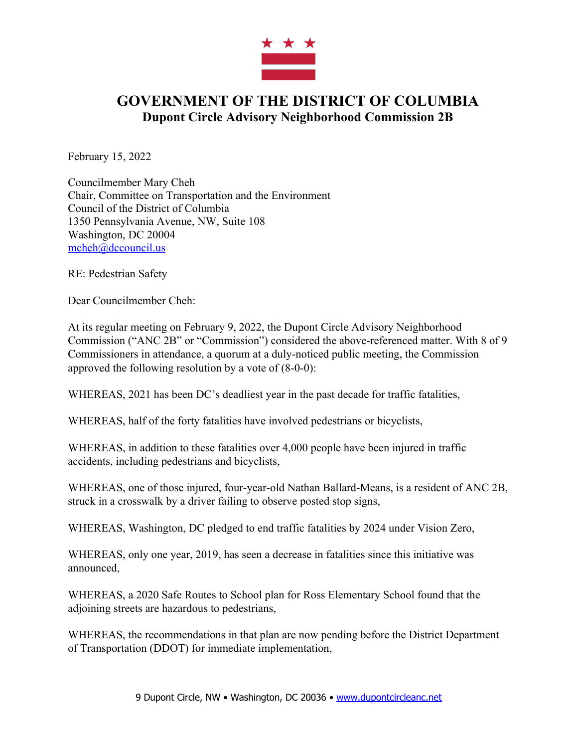

## **GOVERNMENT OF THE DISTRICT OF COLUMBIA Dupont Circle Advisory Neighborhood Commission 2B**

February 15, 2022

Councilmember Mary Cheh Chair, Committee on Transportation and the Environment Council of the District of Columbia 1350 Pennsylvania Avenue, NW, Suite 108 Washington, DC 20004 mcheh@dccouncil.us

RE: Pedestrian Safety

Dear Councilmember Cheh:

At its regular meeting on February 9, 2022, the Dupont Circle Advisory Neighborhood Commission ("ANC 2B" or "Commission") considered the above-referenced matter. With 8 of 9 Commissioners in attendance, a quorum at a duly-noticed public meeting, the Commission approved the following resolution by a vote of (8-0-0):

WHEREAS, 2021 has been DC's deadliest year in the past decade for traffic fatalities,

WHEREAS, half of the forty fatalities have involved pedestrians or bicyclists,

WHEREAS, in addition to these fatalities over 4,000 people have been injured in traffic accidents, including pedestrians and bicyclists,

WHEREAS, one of those injured, four-year-old Nathan Ballard-Means, is a resident of ANC 2B, struck in a crosswalk by a driver failing to observe posted stop signs,

WHEREAS, Washington, DC pledged to end traffic fatalities by 2024 under Vision Zero,

WHEREAS, only one year, 2019, has seen a decrease in fatalities since this initiative was announced,

WHEREAS, a 2020 Safe Routes to School plan for Ross Elementary School found that the adjoining streets are hazardous to pedestrians,

WHEREAS, the recommendations in that plan are now pending before the District Department of Transportation (DDOT) for immediate implementation,